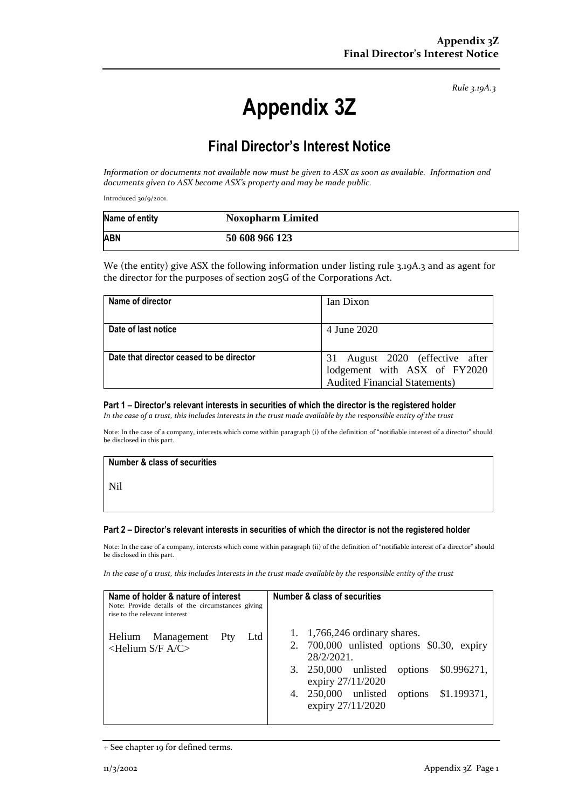*Rule 3.19A.3*

# **Appendix 3Z**

# **Final Director's Interest Notice**

*Information or documents not available now must be given to ASX as soon as available. Information and documents given to ASX become ASX's property and may be made public.*

Introduced 30/9/2001.

| Name of entity | <b>Noxopharm Limited</b> |
|----------------|--------------------------|
| <b>ABN</b>     | 50 608 966 123           |

We (the entity) give ASX the following information under listing rule 3.19A.3 and as agent for the director for the purposes of section 205G of the Corporations Act.

| Name of director                         | Ian Dixon                            |
|------------------------------------------|--------------------------------------|
|                                          |                                      |
| Date of last notice                      | 4 June 2020                          |
|                                          |                                      |
| Date that director ceased to be director | 31 August 2020 (effective after      |
|                                          | lodgement with ASX of FY2020         |
|                                          | <b>Audited Financial Statements)</b> |

### **Part 1 – Director's relevant interests in securities of which the director is the registered holder**

*In the case of a trust, this includes interests in the trust made available by the responsible entity of the trust*

Note: In the case of a company, interests which come within paragraph (i) of the definition of "notifiable interest of a director" should be disclosed in this part.

#### **Number & class of securities**

Nil

#### **Part 2 – Director's relevant interests in securities of which the director is not the registered holder**

Note: In the case of a company, interests which come within paragraph (ii) of the definition of "notifiable interest of a director" should be disclosed in this part.

*In the case of a trust, this includes interests in the trust made available by the responsible entity of the trust*

| Name of holder & nature of interest<br>Note: Provide details of the circumstances giving<br>rise to the relevant interest |     |     | Number & class of securities                                                                                                                                                                                                          |
|---------------------------------------------------------------------------------------------------------------------------|-----|-----|---------------------------------------------------------------------------------------------------------------------------------------------------------------------------------------------------------------------------------------|
| Management<br>Helium<br>$\leq$ Helium S/F A/C $>$                                                                         | Pty | Ltd | 1. $1,766,246$ ordinary shares.<br>2. $700,000$ unlisted options \$0.30, expiry<br>28/2/2021.<br>\$0.996271,<br>3. 250,000 unlisted<br>options<br>expiry 27/11/2020<br>options \$1.199371,<br>$250,000$ unlisted<br>expiry 27/11/2020 |

<sup>+</sup> See chapter 19 for defined terms.